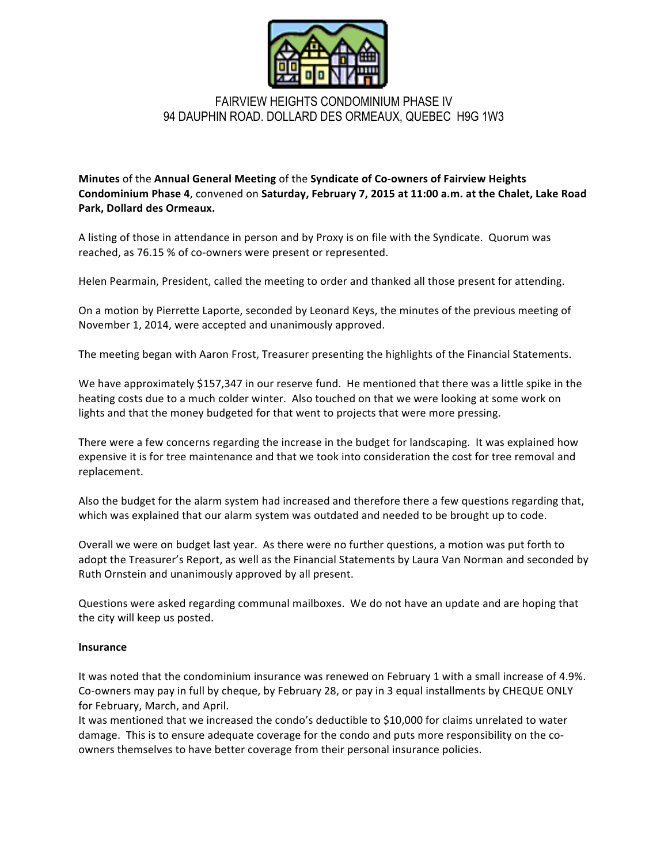

## FAIRVIEW HEIGHTS CONDOMINIUM PHASE IV 94 DAUPHIN ROAD. DOLLARD DES ORMEAUX, QUEBEC H9G 1W3

**Minutes** of the Annual General Meeting of the Syndicate of Co-owners of Fairview Heights **Condominium Phase 4**, convened on Saturday, February 7, 2015 at 11:00 a.m. at the Chalet, Lake Road Park, Dollard des Ormeaux.

A listing of those in attendance in person and by Proxy is on file with the Syndicate. Quorum was reached, as 76.15 % of co-owners were present or represented.

Helen Pearmain, President, called the meeting to order and thanked all those present for attending.

On a motion by Pierrette Laporte, seconded by Leonard Keys, the minutes of the previous meeting of November 1, 2014, were accepted and unanimously approved.

The meeting began with Aaron Frost, Treasurer presenting the highlights of the Financial Statements.

We have approximately \$157,347 in our reserve fund. He mentioned that there was a little spike in the heating costs due to a much colder winter. Also touched on that we were looking at some work on lights and that the money budgeted for that went to projects that were more pressing.

There were a few concerns regarding the increase in the budget for landscaping. It was explained how expensive it is for tree maintenance and that we took into consideration the cost for tree removal and replacement.

Also the budget for the alarm system had increased and therefore there a few questions regarding that, which was explained that our alarm system was outdated and needed to be brought up to code.

Overall we were on budget last year. As there were no further questions, a motion was put forth to adopt the Treasurer's Report, as well as the Financial Statements by Laura Van Norman and seconded by Ruth Ornstein and unanimously approved by all present.

Questions were asked regarding communal mailboxes. We do not have an update and are hoping that the city will keep us posted.

## **Insurance**

It was noted that the condominium insurance was renewed on February 1 with a small increase of 4.9%. Co-owners may pay in full by cheque, by February 28, or pay in 3 equal installments by CHEQUE ONLY for February, March, and April.

It was mentioned that we increased the condo's deductible to \$10,000 for claims unrelated to water damage. This is to ensure adequate coverage for the condo and puts more responsibility on the coowners themselves to have better coverage from their personal insurance policies.